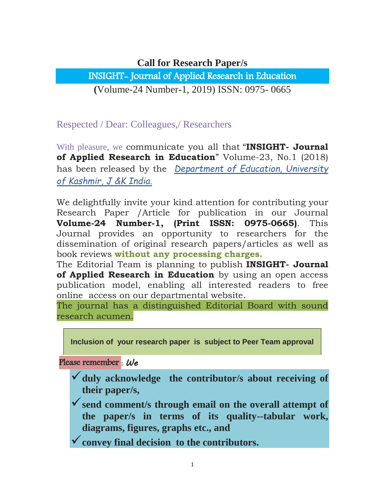## **Call for Research Paper/s**

INSIGHT- Journal of Applied Research in Education

**(**Volume-24 Number-1, 2019) ISSN: 0975- 0665

Respected / Dear: Colleagues,/ Researchers

With pleasure, we communicate you all that "**INSIGHT- Journal of Applied Research in Education**" Volume-23, No.1 (2018) has been released by the *Department of Education, University of Kashmir, J &K India.*

We delightfully invite your kind attention for contributing your Research Paper /Article for publication in our Journal **Volume-24 Number-1, (Print ISSN: 0975-0665)**. This Journal provides an opportunity to researchers for the dissemination of original research papers/articles as well as book reviews **without any processing charges.**

The Editorial Team is planning to publish **INSIGHT- Journal of Applied Research in Education** by using an open access publication model, enabling all interested readers to free online access on our departmental website.

The journal has a distinguished Editorial Board with sound research acumen.

**Inclusion of your research paper is subject to Peer Team approval**

Please remember : *We*

- **duly acknowledge the contributor/s about receiving of their paper/s,**
- **send comment/s through email on the overall attempt of the paper/s in terms of its quality--tabular work, diagrams, figures, graphs etc., and**
- **convey final decision to the contributors.**